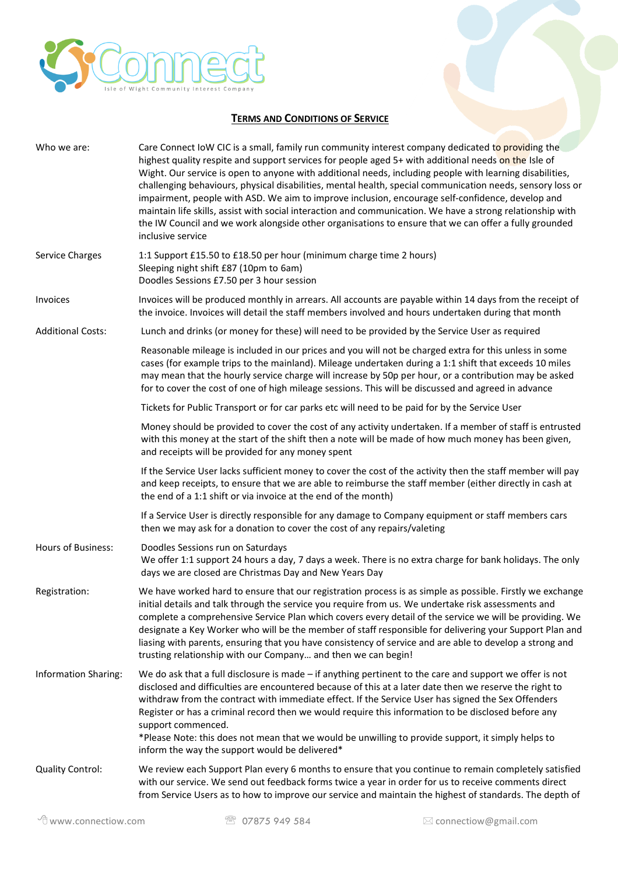

## **TERMS AND CONDITIONS OF SERVICE**

| Who we are:                 | Care Connect IoW CIC is a small, family run community interest company dedicated to providing the<br>highest quality respite and support services for people aged 5+ with additional needs on the Isle of<br>Wight. Our service is open to anyone with additional needs, including people with learning disabilities,<br>challenging behaviours, physical disabilities, mental health, special communication needs, sensory loss or<br>impairment, people with ASD. We aim to improve inclusion, encourage self-confidence, develop and<br>maintain life skills, assist with social interaction and communication. We have a strong relationship with<br>the IW Council and we work alongside other organisations to ensure that we can offer a fully grounded<br>inclusive service |  |
|-----------------------------|-------------------------------------------------------------------------------------------------------------------------------------------------------------------------------------------------------------------------------------------------------------------------------------------------------------------------------------------------------------------------------------------------------------------------------------------------------------------------------------------------------------------------------------------------------------------------------------------------------------------------------------------------------------------------------------------------------------------------------------------------------------------------------------|--|
| Service Charges             | 1:1 Support £15.50 to £18.50 per hour (minimum charge time 2 hours)<br>Sleeping night shift £87 (10pm to 6am)<br>Doodles Sessions £7.50 per 3 hour session                                                                                                                                                                                                                                                                                                                                                                                                                                                                                                                                                                                                                          |  |
| Invoices                    | Invoices will be produced monthly in arrears. All accounts are payable within 14 days from the receipt of<br>the invoice. Invoices will detail the staff members involved and hours undertaken during that month                                                                                                                                                                                                                                                                                                                                                                                                                                                                                                                                                                    |  |
| <b>Additional Costs:</b>    | Lunch and drinks (or money for these) will need to be provided by the Service User as required                                                                                                                                                                                                                                                                                                                                                                                                                                                                                                                                                                                                                                                                                      |  |
|                             | Reasonable mileage is included in our prices and you will not be charged extra for this unless in some<br>cases (for example trips to the mainland). Mileage undertaken during a 1:1 shift that exceeds 10 miles<br>may mean that the hourly service charge will increase by 50p per hour, or a contribution may be asked<br>for to cover the cost of one of high mileage sessions. This will be discussed and agreed in advance                                                                                                                                                                                                                                                                                                                                                    |  |
|                             | Tickets for Public Transport or for car parks etc will need to be paid for by the Service User                                                                                                                                                                                                                                                                                                                                                                                                                                                                                                                                                                                                                                                                                      |  |
|                             | Money should be provided to cover the cost of any activity undertaken. If a member of staff is entrusted<br>with this money at the start of the shift then a note will be made of how much money has been given,<br>and receipts will be provided for any money spent                                                                                                                                                                                                                                                                                                                                                                                                                                                                                                               |  |
|                             | If the Service User lacks sufficient money to cover the cost of the activity then the staff member will pay<br>and keep receipts, to ensure that we are able to reimburse the staff member (either directly in cash at<br>the end of a 1:1 shift or via invoice at the end of the month)                                                                                                                                                                                                                                                                                                                                                                                                                                                                                            |  |
|                             | If a Service User is directly responsible for any damage to Company equipment or staff members cars<br>then we may ask for a donation to cover the cost of any repairs/valeting                                                                                                                                                                                                                                                                                                                                                                                                                                                                                                                                                                                                     |  |
| Hours of Business:          | Doodles Sessions run on Saturdays<br>We offer 1:1 support 24 hours a day, 7 days a week. There is no extra charge for bank holidays. The only<br>days we are closed are Christmas Day and New Years Day                                                                                                                                                                                                                                                                                                                                                                                                                                                                                                                                                                             |  |
| Registration:               | We have worked hard to ensure that our registration process is as simple as possible. Firstly we exchange<br>initial details and talk through the service you require from us. We undertake risk assessments and<br>complete a comprehensive Service Plan which covers every detail of the service we will be providing. We<br>designate a Key Worker who will be the member of staff responsible for delivering your Support Plan and<br>liasing with parents, ensuring that you have consistency of service and are able to develop a strong and<br>trusting relationship with our Company and then we can begin!                                                                                                                                                                 |  |
| <b>Information Sharing:</b> | We do ask that a full disclosure is made - if anything pertinent to the care and support we offer is not<br>disclosed and difficulties are encountered because of this at a later date then we reserve the right to<br>withdraw from the contract with immediate effect. If the Service User has signed the Sex Offenders<br>Register or has a criminal record then we would require this information to be disclosed before any<br>support commenced.<br>*Please Note: this does not mean that we would be unwilling to provide support, it simply helps to<br>inform the way the support would be delivered*                                                                                                                                                                      |  |
| <b>Quality Control:</b>     | We review each Support Plan every 6 months to ensure that you continue to remain completely satisfied<br>with our service. We send out feedback forms twice a year in order for us to receive comments direct<br>from Service Users as to how to improve our service and maintain the highest of standards. The depth of                                                                                                                                                                                                                                                                                                                                                                                                                                                            |  |